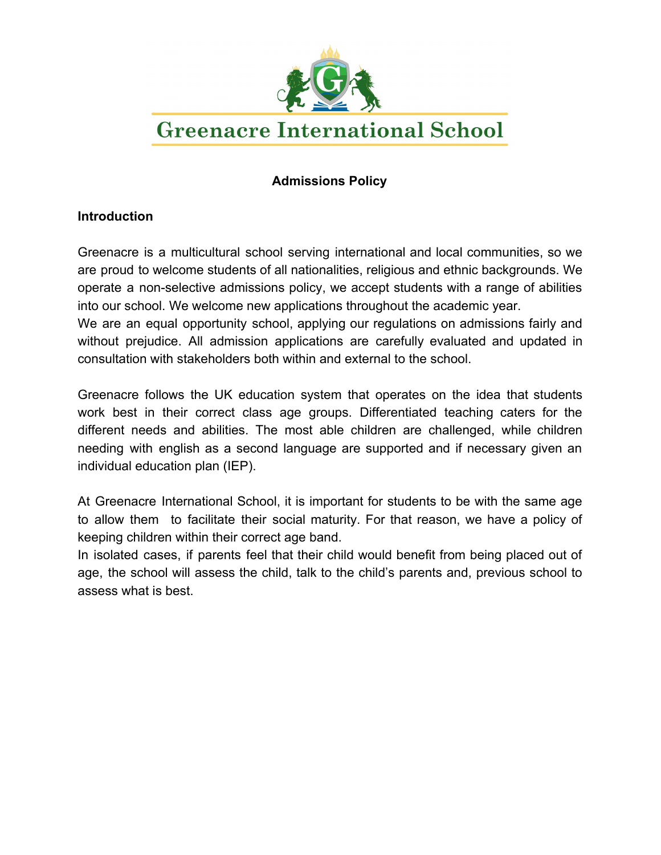

# **Greenacre International School**

### **Admissions Policy**

#### **Introduction**

Greenacre is a multicultural school serving international and local communities, so we are proud to welcome students of all nationalities, religious and ethnic backgrounds. We operate a non-selective admissions policy, we accept students with a range of abilities into our school. We welcome new applications throughout the academic year.

We are an equal opportunity school, applying our regulations on admissions fairly and without prejudice. All admission applications are carefully evaluated and updated in consultation with stakeholders both within and external to the school.

Greenacre follows the UK education system that operates on the idea that students work best in their correct class age groups. Differentiated teaching caters for the different needs and abilities. The most able children are challenged, while children needing with english as a second language are supported and if necessary given an individual education plan (IEP).

At Greenacre International School, it is important for students to be with the same age to allow them to facilitate their social maturity. For that reason, we have a policy of keeping children within their correct age band.

In isolated cases, if parents feel that their child would benefit from being placed out of age, the school will assess the child, talk to the child's parents and, previous school to assess what is best.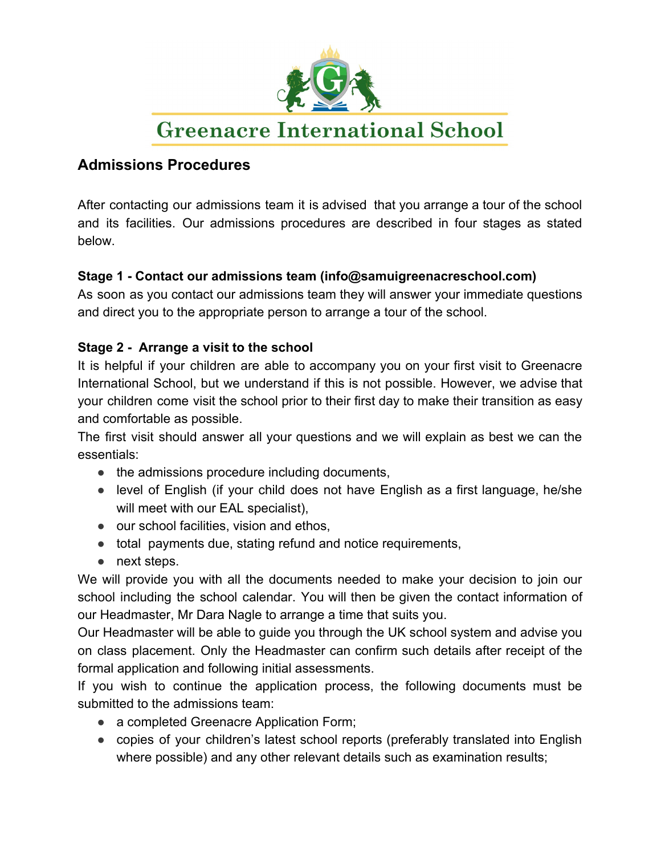

# **Greenacre International School**

## **Admissions Procedures**

After contacting our admissions team it is advised that you arrange a tour of the school and its facilities. Our admissions procedures are described in four stages as stated below.

#### **Stage 1 - Contact our admissions team (info@samuigreenacreschool.com)**

As soon as you contact our admissions team they will answer your immediate questions and direct you to the appropriate person to arrange a tour of the school.

#### **Stage 2 - Arrange a visit to the school**

It is helpful if your children are able to accompany you on your first visit to Greenacre International School, but we understand if this is not possible. However, we advise that your children come visit the school prior to their first day to make their transition as easy and comfortable as possible.

The first visit should answer all your questions and we will explain as best we can the essentials:

- the admissions procedure including documents,
- level of English (if your child does not have English as a first language, he/she will meet with our EAL specialist),
- our school facilities, vision and ethos,
- total payments due, stating refund and notice requirements,
- next steps.

We will provide you with all the documents needed to make your decision to join our school including the school calendar. You will then be given the contact information of our Headmaster, Mr Dara Nagle to arrange a time that suits you.

Our Headmaster will be able to guide you through the UK school system and advise you on class placement. Only the Headmaster can confirm such details after receipt of the formal application and following initial assessments.

If you wish to continue the application process, the following documents must be submitted to the admissions team:

- a completed Greenacre Application Form;
- copies of your children's latest school reports (preferably translated into English where possible) and any other relevant details such as examination results;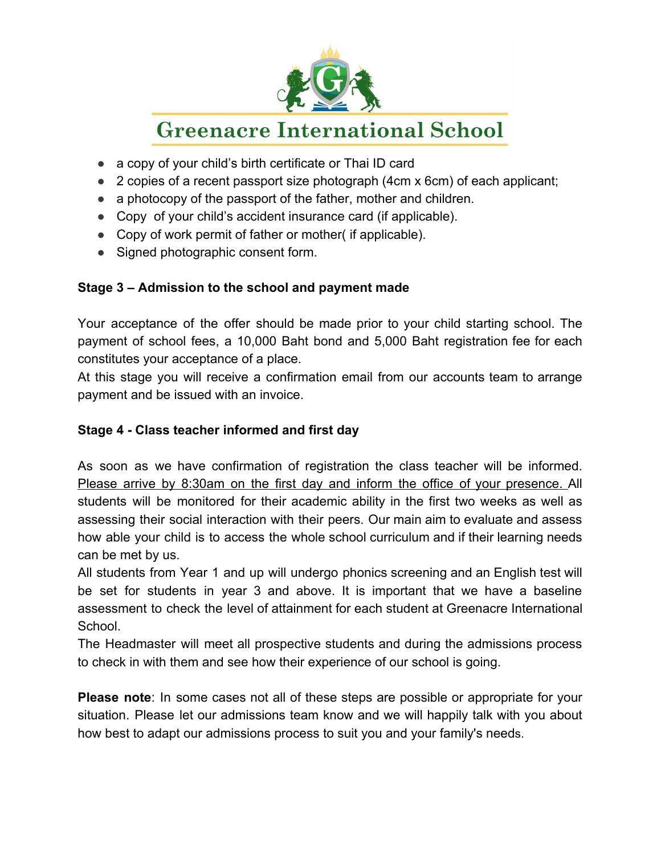

# **Greenacre International School**

- a copy of your child's birth certificate or Thai ID card
- 2 copies of a recent passport size photograph (4cm x 6cm) of each applicant;
- a photocopy of the passport of the father, mother and children.
- Copy of your child's accident insurance card (if applicable).
- Copy of work permit of father or mother (if applicable).
- Signed photographic consent form.

### **Stage 3 – Admission to the school and payment made**

Your acceptance of the offer should be made prior to your child starting school. The payment of school fees, a 10,000 Baht bond and 5,000 Baht registration fee for each constitutes your acceptance of a place.

At this stage you will receive a confirmation email from our accounts team to arrange payment and be issued with an invoice.

### **Stage 4 - Class teacher informed and first day**

As soon as we have confirmation of registration the class teacher will be informed. Please arrive by 8:30am on the first day and inform the office of your presence. All students will be monitored for their academic ability in the first two weeks as well as assessing their social interaction with their peers. Our main aim to evaluate and assess how able your child is to access the whole school curriculum and if their learning needs can be met by us.

All students from Year 1 and up will undergo phonics screening and an English test will be set for students in year 3 and above. It is important that we have a baseline assessment to check the level of attainment for each student at Greenacre International School.

The Headmaster will meet all prospective students and during the admissions process to check in with them and see how their experience of our school is going.

**Please note**: In some cases not all of these steps are possible or appropriate for your situation. Please let our admissions team know and we will happily talk with you about how best to adapt our admissions process to suit you and your family's needs.